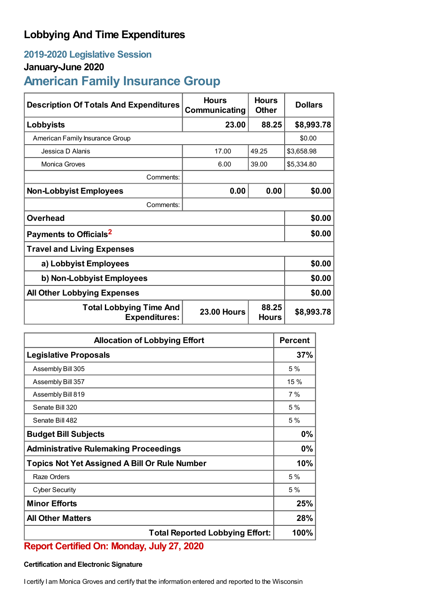# **Lobbying And Time Expenditures**

### **2019-2020 Legislative Session**

#### **January-June 2020**

## **American Family Insurance Group**

| <b>Description Of Totals And Expenditures</b>                                                         | <b>Hours</b><br>Communicating | <b>Hours</b><br><b>Other</b> | <b>Dollars</b> |  |
|-------------------------------------------------------------------------------------------------------|-------------------------------|------------------------------|----------------|--|
| Lobbyists                                                                                             | 23.00                         | 88.25                        | \$8,993.78     |  |
| American Family Insurance Group                                                                       |                               |                              | \$0.00         |  |
| Jessica D Alanis                                                                                      | 17.00                         | 49.25                        | \$3,658.98     |  |
| Monica Groves                                                                                         | 6.00                          | 39.00                        | \$5,334.80     |  |
| Comments:                                                                                             |                               |                              |                |  |
| <b>Non-Lobbyist Employees</b>                                                                         | 0.00                          | 0.00                         | \$0.00         |  |
| Comments:                                                                                             |                               |                              |                |  |
| <b>Overhead</b>                                                                                       |                               |                              | \$0.00         |  |
| Payments to Officials <sup>2</sup>                                                                    | \$0.00                        |                              |                |  |
| <b>Travel and Living Expenses</b>                                                                     |                               |                              |                |  |
| a) Lobbyist Employees                                                                                 | \$0.00                        |                              |                |  |
| b) Non-Lobbyist Employees                                                                             | \$0.00                        |                              |                |  |
| <b>All Other Lobbying Expenses</b>                                                                    | \$0.00                        |                              |                |  |
| 88.25<br><b>Total Lobbying Time And</b><br><b>23.00 Hours</b><br><b>Expenditures:</b><br><b>Hours</b> |                               |                              | \$8,993.78     |  |

| <b>Allocation of Lobbying Effort</b>                 |      |
|------------------------------------------------------|------|
| <b>Legislative Proposals</b>                         |      |
| Assembly Bill 305                                    | 5 %  |
| Assembly Bill 357                                    | 15 % |
| Assembly Bill 819                                    | 7 %  |
| Senate Bill 320                                      | 5%   |
| Senate Bill 482                                      | 5%   |
| <b>Budget Bill Subjects</b>                          | 0%   |
| <b>Administrative Rulemaking Proceedings</b>         |      |
| <b>Topics Not Yet Assigned A Bill Or Rule Number</b> |      |
| Raze Orders                                          | 5%   |
| <b>Cyber Security</b>                                | 5%   |
| <b>Minor Efforts</b>                                 | 25%  |
| <b>All Other Matters</b>                             |      |
| <b>Total Reported Lobbying Effort:</b>               |      |

## **Report Certified On: Monday, July 27, 2020**

#### **Certification and Electronic Signature**

I certify I am Monica Groves and certify that the information entered and reported to the Wisconsin